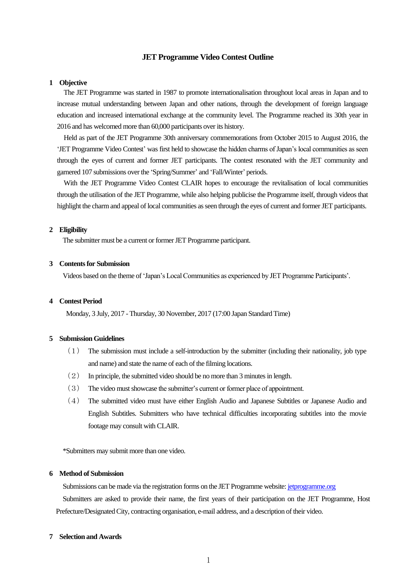# **JET Programme Video Contest Outline**

### **1 Objective**

The JET Programme was started in 1987 to promote internationalisation throughout local areas in Japan and to increase mutual understanding between Japan and other nations, through the development of foreign language education and increased international exchange at the community level. The Programme reached its 30th year in 2016 and has welcomed more than 60,000 participants over its history.

Held as part of the JET Programme 30th anniversary commemorations from October 2015 to August 2016, the 'JET Programme Video Contest' was first held to showcase the hidden charms of Japan's local communities as seen through the eyes of current and former JET participants. The contest resonated with the JET community and garnered 107 submissions over the 'Spring/Summer' and 'Fall/Winter' periods.

With the JET Programme Video Contest CLAIR hopes to encourage the revitalisation of local communities through the utilisation of the JET Programme, while also helping publicise the Programme itself, through videos that highlight the charm and appeal of local communities as seen through the eyes of current and former JET participants.

#### **2 Eligibility**

The submitter must be a current or former JET Programme participant.

#### **3 Contents for Submission**

Videos based on the theme of 'Japan's Local Communities as experienced by JET Programme Participants'.

# **4 Contest Period**

Monday, 3 July, 2017 - Thursday, 30 November, 2017 (17:00 Japan Standard Time)

### **5 Submission Guidelines**

- (1) The submission must include a self-introduction by the submitter (including their nationality, job type and name) and state the name of each of the filming locations.
- (2) In principle, the submitted video should be no more than 3 minutes in length.
- (3) The video must showcase the submitter's current or former place of appointment.
- (4) The submitted video must have either English Audio and Japanese Subtitles or Japanese Audio and English Subtitles. Submitters who have technical difficulties incorporating subtitles into the movie footage may consult with CLAIR.

\*Submitters may submit more than one video.

### **6 Method of Submission**

Submissions can be made via the registration forms on the JET Programme website: *[jetprogramme.org](http://www.jetprogramme.org/)* 

 Submitters are asked to provide their name, the first years of their participation on the JET Programme, Host Prefecture/Designated City, contracting organisation, e-mail address, and a description of their video.

### **7 Selection and Awards**